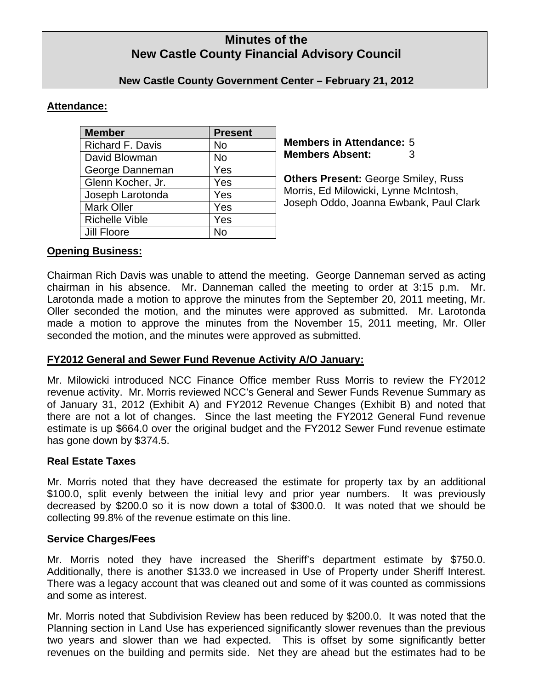# **Minutes of the New Castle County Financial Advisory Council**

### **New Castle County Government Center – February 21, 2012**

# **Attendance:**

| <b>Member</b>         | <b>Present</b> |
|-----------------------|----------------|
| Richard F. Davis      | No             |
| David Blowman         | <b>No</b>      |
| George Danneman       | Yes            |
| Glenn Kocher, Jr.     | Yes            |
| Joseph Larotonda      | Yes            |
| <b>Mark Oller</b>     | Yes            |
| <b>Richelle Vible</b> | Yes            |
| <b>Jill Floore</b>    | N٥             |

**Members in Attendance:** 5 **Members Absent:** 3

**Others Present:** George Smiley, Russ Morris, Ed Milowicki, Lynne McIntosh, Joseph Oddo, Joanna Ewbank, Paul Clark

### **Opening Business:**

Chairman Rich Davis was unable to attend the meeting. George Danneman served as acting chairman in his absence. Mr. Danneman called the meeting to order at 3:15 p.m. Mr. Larotonda made a motion to approve the minutes from the September 20, 2011 meeting, Mr. Oller seconded the motion, and the minutes were approved as submitted. Mr. Larotonda made a motion to approve the minutes from the November 15, 2011 meeting, Mr. Oller seconded the motion, and the minutes were approved as submitted.

# **FY2012 General and Sewer Fund Revenue Activity A/O January:**

Mr. Milowicki introduced NCC Finance Office member Russ Morris to review the FY2012 revenue activity. Mr. Morris reviewed NCC's General and Sewer Funds Revenue Summary as of January 31, 2012 (Exhibit A) and FY2012 Revenue Changes (Exhibit B) and noted that there are not a lot of changes. Since the last meeting the FY2012 General Fund revenue estimate is up \$664.0 over the original budget and the FY2012 Sewer Fund revenue estimate has gone down by \$374.5.

#### **Real Estate Taxes**

Mr. Morris noted that they have decreased the estimate for property tax by an additional \$100.0, split evenly between the initial levy and prior year numbers. It was previously decreased by \$200.0 so it is now down a total of \$300.0. It was noted that we should be collecting 99.8% of the revenue estimate on this line.

#### **Service Charges/Fees**

Mr. Morris noted they have increased the Sheriff's department estimate by \$750.0. Additionally, there is another \$133.0 we increased in Use of Property under Sheriff Interest. There was a legacy account that was cleaned out and some of it was counted as commissions and some as interest.

Mr. Morris noted that Subdivision Review has been reduced by \$200.0. It was noted that the Planning section in Land Use has experienced significantly slower revenues than the previous two years and slower than we had expected. This is offset by some significantly better revenues on the building and permits side. Net they are ahead but the estimates had to be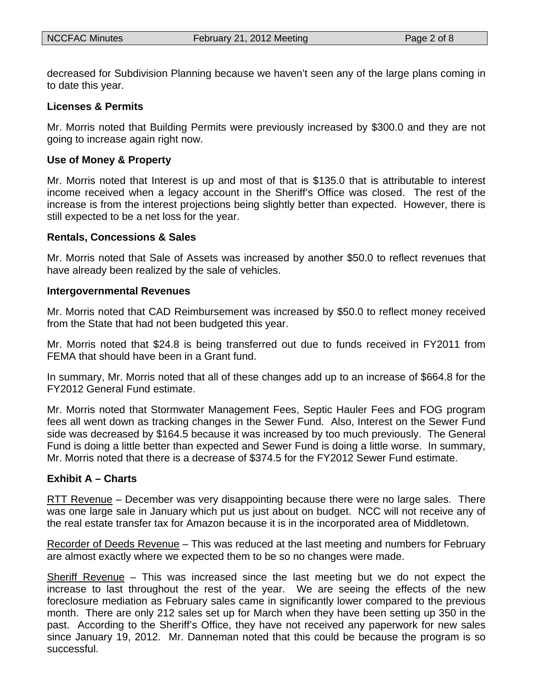decreased for Subdivision Planning because we haven't seen any of the large plans coming in to date this year.

#### **Licenses & Permits**

Mr. Morris noted that Building Permits were previously increased by \$300.0 and they are not going to increase again right now.

#### **Use of Money & Property**

Mr. Morris noted that Interest is up and most of that is \$135.0 that is attributable to interest income received when a legacy account in the Sheriff's Office was closed. The rest of the increase is from the interest projections being slightly better than expected. However, there is still expected to be a net loss for the year.

#### **Rentals, Concessions & Sales**

Mr. Morris noted that Sale of Assets was increased by another \$50.0 to reflect revenues that have already been realized by the sale of vehicles.

#### **Intergovernmental Revenues**

Mr. Morris noted that CAD Reimbursement was increased by \$50.0 to reflect money received from the State that had not been budgeted this year.

Mr. Morris noted that \$24.8 is being transferred out due to funds received in FY2011 from FEMA that should have been in a Grant fund.

In summary, Mr. Morris noted that all of these changes add up to an increase of \$664.8 for the FY2012 General Fund estimate.

Mr. Morris noted that Stormwater Management Fees, Septic Hauler Fees and FOG program fees all went down as tracking changes in the Sewer Fund. Also, Interest on the Sewer Fund side was decreased by \$164.5 because it was increased by too much previously. The General Fund is doing a little better than expected and Sewer Fund is doing a little worse. In summary, Mr. Morris noted that there is a decrease of \$374.5 for the FY2012 Sewer Fund estimate.

#### **Exhibit A – Charts**

RTT Revenue – December was very disappointing because there were no large sales. There was one large sale in January which put us just about on budget. NCC will not receive any of the real estate transfer tax for Amazon because it is in the incorporated area of Middletown.

Recorder of Deeds Revenue – This was reduced at the last meeting and numbers for February are almost exactly where we expected them to be so no changes were made.

Sheriff Revenue – This was increased since the last meeting but we do not expect the increase to last throughout the rest of the year. We are seeing the effects of the new foreclosure mediation as February sales came in significantly lower compared to the previous month. There are only 212 sales set up for March when they have been setting up 350 in the past. According to the Sheriff's Office, they have not received any paperwork for new sales since January 19, 2012. Mr. Danneman noted that this could be because the program is so successful.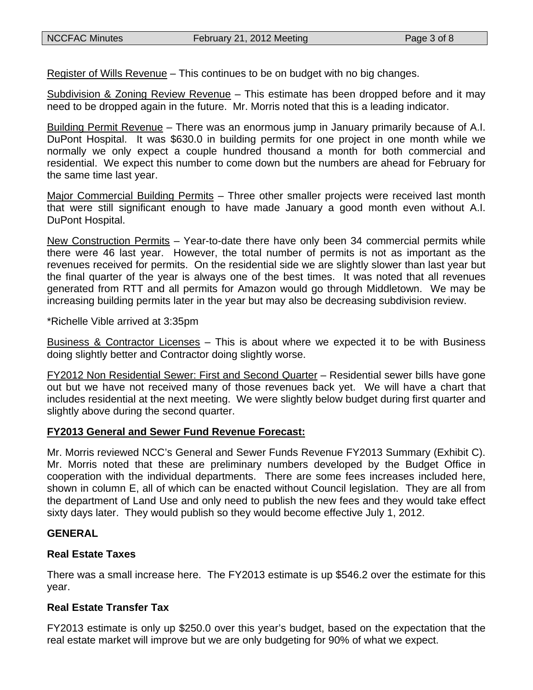Register of Wills Revenue – This continues to be on budget with no big changes.

Subdivision & Zoning Review Revenue – This estimate has been dropped before and it may need to be dropped again in the future. Mr. Morris noted that this is a leading indicator.

Building Permit Revenue – There was an enormous jump in January primarily because of A.I. DuPont Hospital. It was \$630.0 in building permits for one project in one month while we normally we only expect a couple hundred thousand a month for both commercial and residential. We expect this number to come down but the numbers are ahead for February for the same time last year.

Major Commercial Building Permits – Three other smaller projects were received last month that were still significant enough to have made January a good month even without A.I. DuPont Hospital.

New Construction Permits – Year-to-date there have only been 34 commercial permits while there were 46 last year. However, the total number of permits is not as important as the revenues received for permits. On the residential side we are slightly slower than last year but the final quarter of the year is always one of the best times. It was noted that all revenues generated from RTT and all permits for Amazon would go through Middletown. We may be increasing building permits later in the year but may also be decreasing subdivision review.

\*Richelle Vible arrived at 3:35pm

Business & Contractor Licenses – This is about where we expected it to be with Business doing slightly better and Contractor doing slightly worse.

FY2012 Non Residential Sewer: First and Second Quarter – Residential sewer bills have gone out but we have not received many of those revenues back yet. We will have a chart that includes residential at the next meeting. We were slightly below budget during first quarter and slightly above during the second quarter.

# **FY2013 General and Sewer Fund Revenue Forecast:**

Mr. Morris reviewed NCC's General and Sewer Funds Revenue FY2013 Summary (Exhibit C). Mr. Morris noted that these are preliminary numbers developed by the Budget Office in cooperation with the individual departments. There are some fees increases included here, shown in column E, all of which can be enacted without Council legislation. They are all from the department of Land Use and only need to publish the new fees and they would take effect sixty days later. They would publish so they would become effective July 1, 2012.

# **GENERAL**

# **Real Estate Taxes**

There was a small increase here. The FY2013 estimate is up \$546.2 over the estimate for this year.

# **Real Estate Transfer Tax**

FY2013 estimate is only up \$250.0 over this year's budget, based on the expectation that the real estate market will improve but we are only budgeting for 90% of what we expect.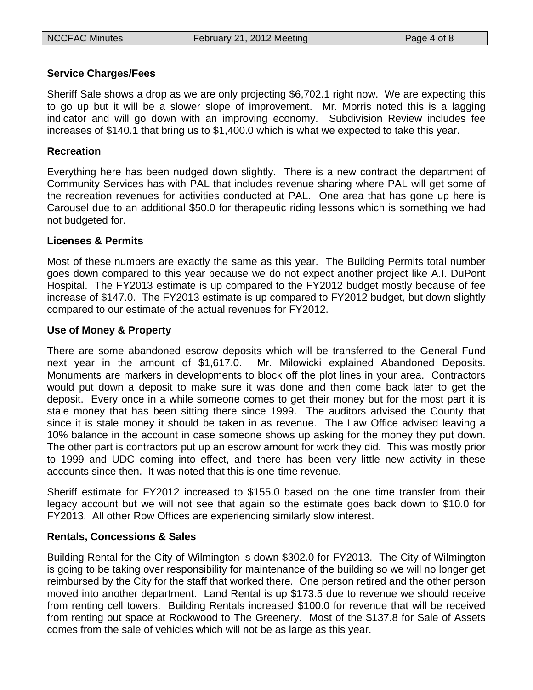### **Service Charges/Fees**

Sheriff Sale shows a drop as we are only projecting \$6,702.1 right now. We are expecting this to go up but it will be a slower slope of improvement. Mr. Morris noted this is a lagging indicator and will go down with an improving economy. Subdivision Review includes fee increases of \$140.1 that bring us to \$1,400.0 which is what we expected to take this year.

### **Recreation**

Everything here has been nudged down slightly. There is a new contract the department of Community Services has with PAL that includes revenue sharing where PAL will get some of the recreation revenues for activities conducted at PAL. One area that has gone up here is Carousel due to an additional \$50.0 for therapeutic riding lessons which is something we had not budgeted for.

### **Licenses & Permits**

Most of these numbers are exactly the same as this year. The Building Permits total number goes down compared to this year because we do not expect another project like A.I. DuPont Hospital. The FY2013 estimate is up compared to the FY2012 budget mostly because of fee increase of \$147.0. The FY2013 estimate is up compared to FY2012 budget, but down slightly compared to our estimate of the actual revenues for FY2012.

### **Use of Money & Property**

There are some abandoned escrow deposits which will be transferred to the General Fund next year in the amount of \$1,617.0. Mr. Milowicki explained Abandoned Deposits. Monuments are markers in developments to block off the plot lines in your area. Contractors would put down a deposit to make sure it was done and then come back later to get the deposit. Every once in a while someone comes to get their money but for the most part it is stale money that has been sitting there since 1999. The auditors advised the County that since it is stale money it should be taken in as revenue. The Law Office advised leaving a 10% balance in the account in case someone shows up asking for the money they put down. The other part is contractors put up an escrow amount for work they did. This was mostly prior to 1999 and UDC coming into effect, and there has been very little new activity in these accounts since then. It was noted that this is one-time revenue.

Sheriff estimate for FY2012 increased to \$155.0 based on the one time transfer from their legacy account but we will not see that again so the estimate goes back down to \$10.0 for FY2013. All other Row Offices are experiencing similarly slow interest.

#### **Rentals, Concessions & Sales**

Building Rental for the City of Wilmington is down \$302.0 for FY2013. The City of Wilmington is going to be taking over responsibility for maintenance of the building so we will no longer get reimbursed by the City for the staff that worked there. One person retired and the other person moved into another department. Land Rental is up \$173.5 due to revenue we should receive from renting cell towers. Building Rentals increased \$100.0 for revenue that will be received from renting out space at Rockwood to The Greenery. Most of the \$137.8 for Sale of Assets comes from the sale of vehicles which will not be as large as this year.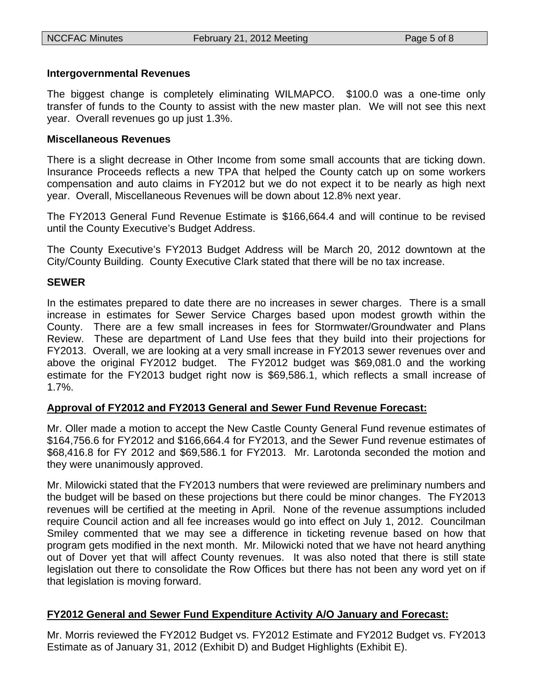### **Intergovernmental Revenues**

The biggest change is completely eliminating WILMAPCO. \$100.0 was a one-time only transfer of funds to the County to assist with the new master plan. We will not see this next year. Overall revenues go up just 1.3%.

### **Miscellaneous Revenues**

There is a slight decrease in Other Income from some small accounts that are ticking down. Insurance Proceeds reflects a new TPA that helped the County catch up on some workers compensation and auto claims in FY2012 but we do not expect it to be nearly as high next year. Overall, Miscellaneous Revenues will be down about 12.8% next year.

The FY2013 General Fund Revenue Estimate is \$166,664.4 and will continue to be revised until the County Executive's Budget Address.

The County Executive's FY2013 Budget Address will be March 20, 2012 downtown at the City/County Building. County Executive Clark stated that there will be no tax increase.

### **SEWER**

In the estimates prepared to date there are no increases in sewer charges. There is a small increase in estimates for Sewer Service Charges based upon modest growth within the County. There are a few small increases in fees for Stormwater/Groundwater and Plans Review. These are department of Land Use fees that they build into their projections for FY2013. Overall, we are looking at a very small increase in FY2013 sewer revenues over and above the original FY2012 budget. The FY2012 budget was \$69,081.0 and the working estimate for the FY2013 budget right now is \$69,586.1, which reflects a small increase of 1.7%.

# **Approval of FY2012 and FY2013 General and Sewer Fund Revenue Forecast:**

Mr. Oller made a motion to accept the New Castle County General Fund revenue estimates of \$164,756.6 for FY2012 and \$166,664.4 for FY2013, and the Sewer Fund revenue estimates of \$68,416.8 for FY 2012 and \$69,586.1 for FY2013. Mr. Larotonda seconded the motion and they were unanimously approved.

Mr. Milowicki stated that the FY2013 numbers that were reviewed are preliminary numbers and the budget will be based on these projections but there could be minor changes. The FY2013 revenues will be certified at the meeting in April. None of the revenue assumptions included require Council action and all fee increases would go into effect on July 1, 2012. Councilman Smiley commented that we may see a difference in ticketing revenue based on how that program gets modified in the next month. Mr. Milowicki noted that we have not heard anything out of Dover yet that will affect County revenues. It was also noted that there is still state legislation out there to consolidate the Row Offices but there has not been any word yet on if that legislation is moving forward.

# **FY2012 General and Sewer Fund Expenditure Activity A/O January and Forecast:**

Mr. Morris reviewed the FY2012 Budget vs. FY2012 Estimate and FY2012 Budget vs. FY2013 Estimate as of January 31, 2012 (Exhibit D) and Budget Highlights (Exhibit E).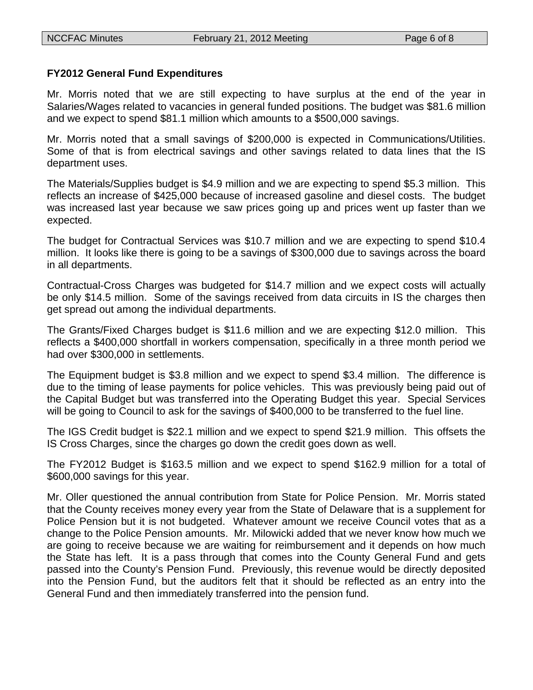### **FY2012 General Fund Expenditures**

Mr. Morris noted that we are still expecting to have surplus at the end of the year in Salaries/Wages related to vacancies in general funded positions. The budget was \$81.6 million and we expect to spend \$81.1 million which amounts to a \$500,000 savings.

Mr. Morris noted that a small savings of \$200,000 is expected in Communications/Utilities. Some of that is from electrical savings and other savings related to data lines that the IS department uses.

The Materials/Supplies budget is \$4.9 million and we are expecting to spend \$5.3 million. This reflects an increase of \$425,000 because of increased gasoline and diesel costs. The budget was increased last year because we saw prices going up and prices went up faster than we expected.

The budget for Contractual Services was \$10.7 million and we are expecting to spend \$10.4 million. It looks like there is going to be a savings of \$300,000 due to savings across the board in all departments.

Contractual-Cross Charges was budgeted for \$14.7 million and we expect costs will actually be only \$14.5 million. Some of the savings received from data circuits in IS the charges then get spread out among the individual departments.

The Grants/Fixed Charges budget is \$11.6 million and we are expecting \$12.0 million. This reflects a \$400,000 shortfall in workers compensation, specifically in a three month period we had over \$300,000 in settlements.

The Equipment budget is \$3.8 million and we expect to spend \$3.4 million. The difference is due to the timing of lease payments for police vehicles. This was previously being paid out of the Capital Budget but was transferred into the Operating Budget this year. Special Services will be going to Council to ask for the savings of \$400,000 to be transferred to the fuel line.

The IGS Credit budget is \$22.1 million and we expect to spend \$21.9 million. This offsets the IS Cross Charges, since the charges go down the credit goes down as well.

The FY2012 Budget is \$163.5 million and we expect to spend \$162.9 million for a total of \$600,000 savings for this year.

Mr. Oller questioned the annual contribution from State for Police Pension. Mr. Morris stated that the County receives money every year from the State of Delaware that is a supplement for Police Pension but it is not budgeted. Whatever amount we receive Council votes that as a change to the Police Pension amounts. Mr. Milowicki added that we never know how much we are going to receive because we are waiting for reimbursement and it depends on how much the State has left. It is a pass through that comes into the County General Fund and gets passed into the County's Pension Fund. Previously, this revenue would be directly deposited into the Pension Fund, but the auditors felt that it should be reflected as an entry into the General Fund and then immediately transferred into the pension fund.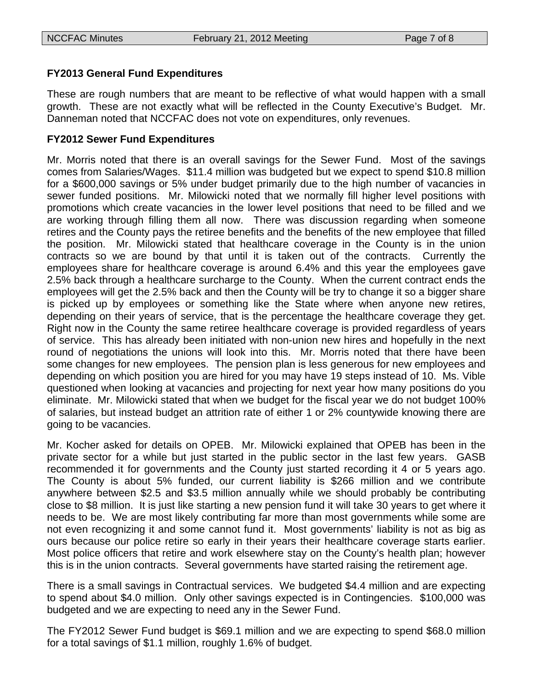# **FY2013 General Fund Expenditures**

These are rough numbers that are meant to be reflective of what would happen with a small growth. These are not exactly what will be reflected in the County Executive's Budget. Mr. Danneman noted that NCCFAC does not vote on expenditures, only revenues.

# **FY2012 Sewer Fund Expenditures**

Mr. Morris noted that there is an overall savings for the Sewer Fund. Most of the savings comes from Salaries/Wages. \$11.4 million was budgeted but we expect to spend \$10.8 million for a \$600,000 savings or 5% under budget primarily due to the high number of vacancies in sewer funded positions. Mr. Milowicki noted that we normally fill higher level positions with promotions which create vacancies in the lower level positions that need to be filled and we are working through filling them all now. There was discussion regarding when someone retires and the County pays the retiree benefits and the benefits of the new employee that filled the position. Mr. Milowicki stated that healthcare coverage in the County is in the union contracts so we are bound by that until it is taken out of the contracts. Currently the employees share for healthcare coverage is around 6.4% and this year the employees gave 2.5% back through a healthcare surcharge to the County. When the current contract ends the employees will get the 2.5% back and then the County will be try to change it so a bigger share is picked up by employees or something like the State where when anyone new retires, depending on their years of service, that is the percentage the healthcare coverage they get. Right now in the County the same retiree healthcare coverage is provided regardless of years of service. This has already been initiated with non-union new hires and hopefully in the next round of negotiations the unions will look into this. Mr. Morris noted that there have been some changes for new employees. The pension plan is less generous for new employees and depending on which position you are hired for you may have 19 steps instead of 10. Ms. Vible questioned when looking at vacancies and projecting for next year how many positions do you eliminate. Mr. Milowicki stated that when we budget for the fiscal year we do not budget 100% of salaries, but instead budget an attrition rate of either 1 or 2% countywide knowing there are going to be vacancies.

Mr. Kocher asked for details on OPEB. Mr. Milowicki explained that OPEB has been in the private sector for a while but just started in the public sector in the last few years. GASB recommended it for governments and the County just started recording it 4 or 5 years ago. The County is about 5% funded, our current liability is \$266 million and we contribute anywhere between \$2.5 and \$3.5 million annually while we should probably be contributing close to \$8 million. It is just like starting a new pension fund it will take 30 years to get where it needs to be. We are most likely contributing far more than most governments while some are not even recognizing it and some cannot fund it. Most governments' liability is not as big as ours because our police retire so early in their years their healthcare coverage starts earlier. Most police officers that retire and work elsewhere stay on the County's health plan; however this is in the union contracts. Several governments have started raising the retirement age.

There is a small savings in Contractual services. We budgeted \$4.4 million and are expecting to spend about \$4.0 million. Only other savings expected is in Contingencies. \$100,000 was budgeted and we are expecting to need any in the Sewer Fund.

The FY2012 Sewer Fund budget is \$69.1 million and we are expecting to spend \$68.0 million for a total savings of \$1.1 million, roughly 1.6% of budget.